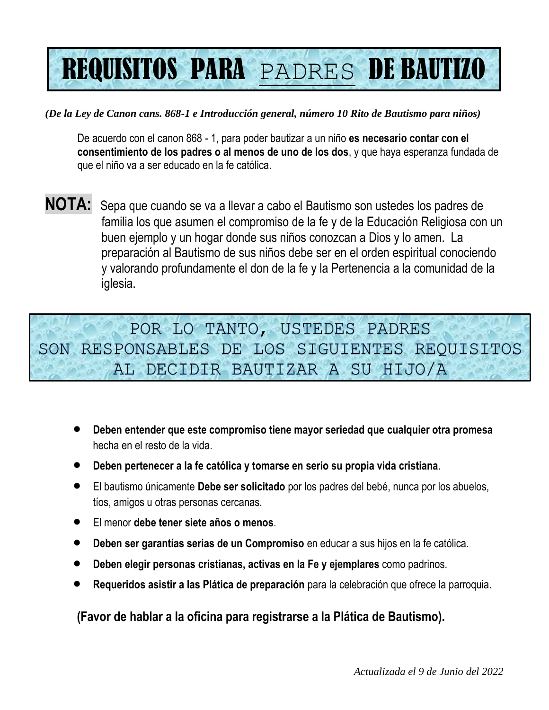# REQUISITOS PARA PADRES DE BAUTIZO

### *(De la Ley de Canon cans. 868-1 e Introducción general, número 10 Rito de Bautismo para niños)*

De acuerdo con el canon 868 - 1, para poder bautizar a un niño **es necesario contar con el consentimiento de los padres o al menos de uno de los dos**, y que haya esperanza fundada de que el niño va a ser educado en la fe católica.

**NOTA:** Sepa que cuando se va a llevar a cabo el Bautismo son ustedes los padres de familia los que asumen el compromiso de la fe y de la Educación Religiosa con un buen ejemplo y un hogar donde sus niños conozcan a Dios y lo amen. La preparación al Bautismo de sus niños debe ser en el orden espiritual conociendo y valorando profundamente el don de la fe y la Pertenencia a la comunidad de la iglesia.

POR LO TANTO, USTEDES PADRES SON RESPONSABLES DE LOS SIGUIENTES REQUISITOS AL DECIDIR BAUTIZAR A SU HIJO/A

- **Deben entender que este compromiso tiene mayor seriedad que cualquier otra promesa** hecha en el resto de la vida.
- **Deben pertenecer a la fe católica y tomarse en serio su propia vida cristiana**.
- El bautismo únicamente **Debe ser solicitado** por los padres del bebé, nunca por los abuelos, tíos, amigos u otras personas cercanas.
- El menor **debe tener siete años o menos**.
- **Deben ser garantías serias de un Compromiso** en educar a sus hijos en la fe católica.
- **Deben elegir personas cristianas, activas en la Fe y ejemplares** como padrinos.
- **Requeridos asistir a las Plática de preparación** para la celebración que ofrece la parroquia.

**(Favor de hablar a la oficina para registrarse a la Plática de Bautismo).**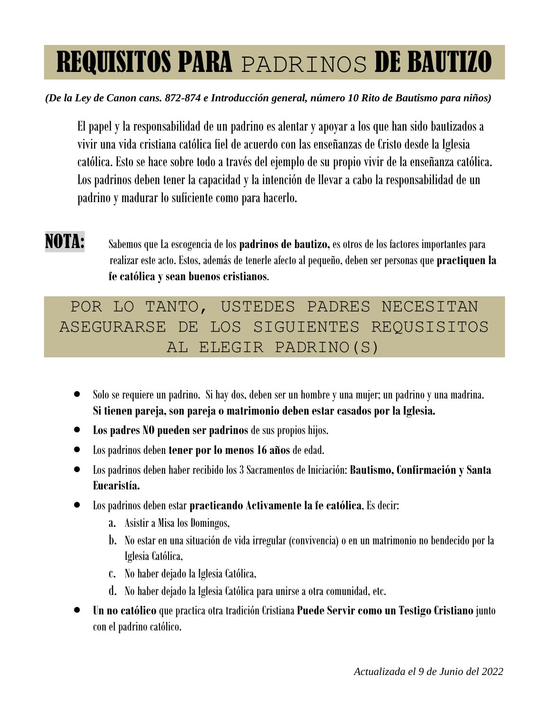## REQUISITOS PARA PADRINOS DE BAUTIZO

### *(De la Ley de Canon cans. 872-874 e Introducción general, número 10 Rito de Bautismo para niños)*

El papel y la responsabilidad de un padrino es alentar y apoyar a los que han sido bautizados a vivir una vida cristiana católica fiel de acuerdo con las enseñanzas de Cristo desde la Iglesia católica. Esto se hace sobre todo a través del ejemplo de su propio vivir de la enseñanza católica. Los padrinos deben tener la capacidad y la intención de llevar a cabo la responsabilidad de un padrino y madurar lo suficiente como para hacerlo.

NOTA: Sabemos que La escogencia de los **padrinos de bautizo,** es otros de los factores importantes para realizar este acto. Estos, además de tenerle afecto al pequeño, deben ser personas que **practiquen la fe católica y sean buenos cristianos**.

POR LO TANTO, USTEDES PADRES NECESITAN ASEGURARSE DE LOS SIGUIENTES REQUSISITOS AL ELEGIR PADRINO(S)

- Solo se requiere un padrino. Si hay dos, deben ser un hombre y una mujer; un padrino y una madrina. **Si tienen pareja, son pareja o matrimonio deben estar casados por la Iglesia.**
- **Los padres NO pueden ser padrinos** de sus propios hijos.
- Los padrinos deben **tener por lo menos 16 años** de edad.
- Los padrinos deben haber recibido los 3 Sacramentos de Iniciación: **Bautismo, Confirmación y Santa Eucaristía.**
- Los padrinos deben estar **practicando Activamente la fe católica**, Es decir:
	- a. Asistir a Misa los Domingos,
	- b. No estar en una situación de vida irregular (convivencia) o en un matrimonio no bendecido por la Iglesia Católica,
	- c. No haber dejado la Iglesia Católica,
	- d. No haber dejado la Iglesia Católica para unirse a otra comunidad, etc.
- **Un no católico** que practica otra tradición Cristiana **Puede Servir como un Testigo Cristiano** junto con el padrino católico.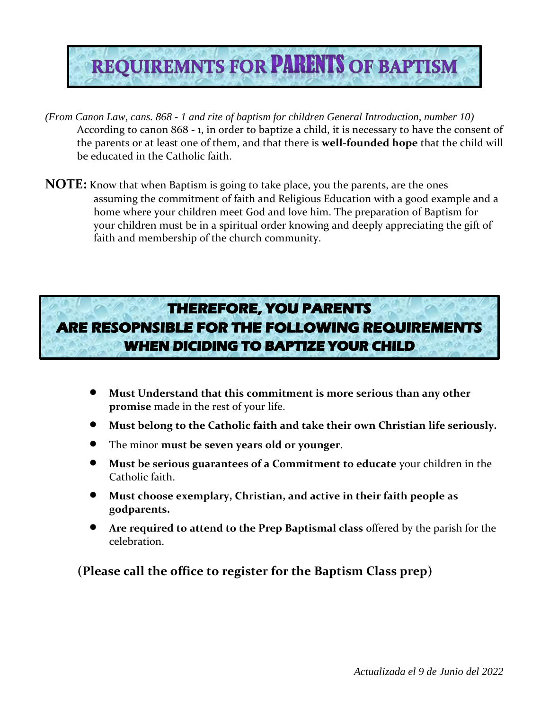# **REQUIREMNTS FOR PARENTS OF BAPTISM**

- *(From Canon Law, cans. 868 - 1 and rite of baptism for children General Introduction, number 10)* According to canon 868 - 1, in order to baptize a child, it is necessary to have the consent of the parents or at least one of them, and that there is **well-founded hope** that the child will be educated in the Catholic faith.
- **NOTE:** Know that when Baptism is going to take place, you the parents, are the ones assuming the commitment of faith and Religious Education with a good example and a home where your children meet God and love him. The preparation of Baptism for your children must be in a spiritual order knowing and deeply appreciating the gift of faith and membership of the church community.

## **THEREFORE, YOU PARENTS** ARE RESOPNSIBLE FOR THE FOLLOWING REQUIREMENTS **WHEN DICIDING TO BAPTIZE YOUR CHILD**

- **Must Understand that this commitment is more serious than any other promise** made in the rest of your life.
- **Must belong to the Catholic faith and take their own Christian life seriously.**
- The minor **must be seven years old or younger**.
- **Must be serious guarantees of a Commitment to educate** your children in the Catholic faith.
- **Must choose exemplary, Christian, and active in their faith people as godparents.**
- **Are required to attend to the Prep Baptismal class** offered by the parish for the celebration.

**(Please call the office to register for the Baptism Class prep)**